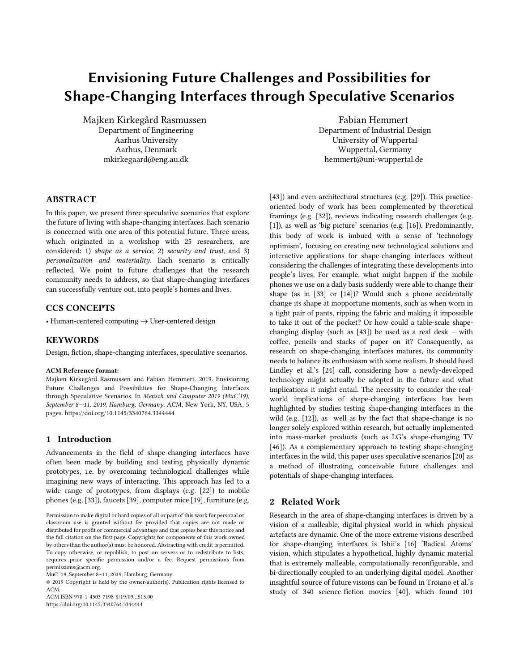# Envisioning Future Challenges and Possibilities for Shape-Changing Interfaces through Speculative Scenarios

Majken Kirkegård Rasmussen Department of Engineering Aarhus University Aarhus, Denmark mkirkegaard@eng.au.dk

Fabian Hemmert Department of Industrial Design University of Wuppertal Wuppertal, Germany hemmert@uni-wuppertal.de

## ABSTRACT

In this paper, we present three speculative scenarios that explore the future of living with shape-changing interfaces. Each scenario is concerned with one area of this potential future. Three areas, which originated in a workshop with 25 researchers, are considered: 1) *shape as a service*, 2) *security and trust*, and 3) *personalization and materiality*. Each scenario is critically reflected. We point to future challenges that the research community needs to address, so that shape-changing interfaces can successfully venture out, into people's homes and lives.

#### CCS CONCEPTS

• Human-centered computing  $\rightarrow$  User-centered design

## **KEYWORDS**

Design, fiction, shape-changing interfaces, speculative scenarios.

#### ACM Reference format:

Majken Kirkegård Rasmussen and Fabian Hemmert. 2019. Envisioning Future Challenges and Possibilities for Shape-Changing Interfaces through Speculative Scenarios. In *Mensch und Computer 2019 (MuC'19), September 8—11, 2019, Hamburg, Germany*. ACM, New York, NY, USA, 5 pages. htps://doi.org/10.1145/3340764.3344444

#### 1 Introduction

Advancements in the field of shape-changing interfaces have often been made by building and testing physically dynamic prototypes, i.e. by overcoming technological challenges while imagining new ways of interacting. This approach has led to a wide range of prototypes, from displays (e.g. [22]) to mobile phones (e.g. [33]), faucets [39], computer mice [19], furniture (e.g.

Permission to make digital or hard copies of all or part of this work for personal or classroom use is granted without fee provided that copies are not made or distributed for profit or commercial advantage and that copies bear this notice and the full citation on the first page. Copyrights for components of this work owned by others than the author(s) must be honored. Abstracting with credit is permitted. To copy otherwise, or republish, to post on servers or to redistribute to lists, requires prior specific permission and/or a fee. Request permissions from permissions@acm.org.

MuC '19, September 8–11, 2019, Hamburg, Germany

© 2019 Copyright is held by the owner/author(s). Publication rights licensed to ACM.

ACM ISBN 978-1-4503-7198-8/19/09…\$15.00 https://doi.org/10.1145/3340764.3344444

[43]) and even architectural structures (e.g. [29]). This practiceoriented body of work has been complemented by theoretical framings (e.g. [32]), reviews indicating research challenges (e.g. [1]), as well as 'big picture' scenarios (e.g. [16]). Predominantly, this body of work is imbued with a sense of 'technology optimism', focusing on creating new technological solutions and interactive applications for shape-changing interfaces without considering the challenges of integrating these developments into people's lives. For example, what might happen if the mobile phones we use on a daily basis suddenly were able to change their shape (as in [33] or [14])? Would such a phone accidentally change its shape at inopportune moments, such as when worn in a tight pair of pants, ripping the fabric and making it impossible to take it out of the pocket? Or how could a table-scale shapechanging display (such as [43]) be used as a real desk – with coffee, pencils and stacks of paper on it? Consequently, as research on shape-changing interfaces matures, its community needs to balance its enthusiasm with some realism. It should heed Lindley et al.'s [24] call, considering how a newly-developed technology might actually be adopted in the future and what implications it might entail. The necessity to consider the realworld implications of shape-changing interfaces has been highlighted by studies testing shape-changing interfaces in the wild (e.g. [12]), as well as by the fact that shape-change is no longer solely explored within research, but actually implemented into mass-market products (such as LG's shape-changing TV [46]). As a complementary approach to testing shape-changing interfaces in the wild, this paper uses speculative scenarios [20] as a method of illustrating conceivable future challenges and potentials of shape-changing interfaces.

#### 2 Related Work

Research in the area of shape-changing interfaces is driven by a vision of a malleable, digital-physical world in which physical artefacts are dynamic. One of the more extreme visions described for shape-changing interfaces is Ishii's [16] 'Radical Atoms' vision, which stipulates a hypothetical, highly dynamic material that is extremely malleable, computationally reconfigurable, and bi-directionally coupled to an underlying digital model. Another insightful source of future visions can be found in Troiano et al.'s study of 340 science-fiction movies [40], which found 101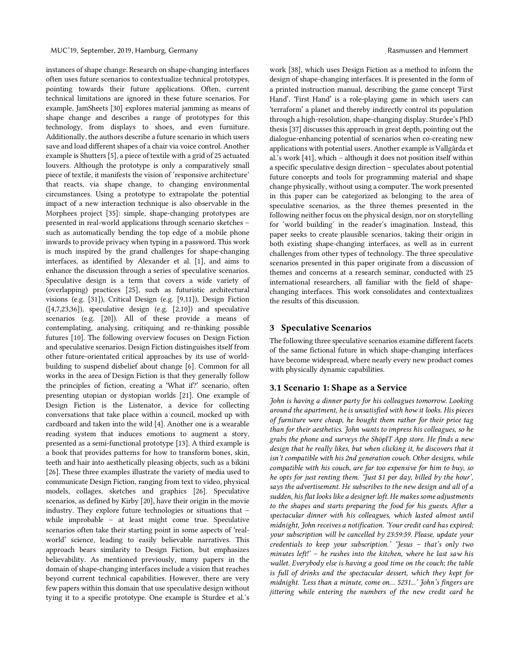instances of shape change. Research on shape-changing interfaces often uses future scenarios to contextualize technical prototypes, pointing towards their future applications. Often, current technical limitations are ignored in these future scenarios. For example, JamSheets [30] explores material jamming as means of shape change and describes a range of prototypes for this technology, from displays to shoes, and even furniture. Additionally, the authors describe a future scenario in which users save and load different shapes of a chair via voice control. Another example is Shutters [5], a piece of textile with a grid of 25 actuated louvers. Although the prototype is only a comparatively small piece of textile, it manifests the vision of 'responsive architecture' that reacts, via shape change, to changing environmental circumstances. Using a prototype to extrapolate the potential impact of a new interaction technique is also observable in the Morphees project [35]: simple, shape-changing prototypes are presented in real-world applications through scenario sketches – such as automatically bending the top edge of a mobile phone inwards to provide privacy when typing in a password. This work is much inspired by the grand challenges for shape-changing interfaces, as identified by Alexander et al. [1], and aims to enhance the discussion through a series of speculative scenarios. Speculative design is a term that covers a wide variety of (overlapping) practices [25], such as futuristic architectural visions (e.g. [31]), Critical Design (e.g. [9,11]), Design Fiction ([4,7,23,36]), speculative design (e.g. [2,10]) and speculative scenarios (e.g. [20]). All of these provide a means of contemplating, analysing, critiquing and re-thinking possible futures [10]. The following overview focuses on Design Fiction and speculative scenarios. Design Fiction distinguishes itself from other future-orientated critical approaches by its use of worldbuilding to suspend disbelief about change [6]. Common for all works in the area of Design Fiction is that they generally follow the principles of fiction, creating a 'What if?' scenario, often presenting utopian or dystopian worlds [21]. One example of Design Fiction is the Listenator, a device for collecting conversations that take place within a council, mocked up with cardboard and taken into the wild [4]. Another one is a wearable reading system that induces emotions to augment a story, presented as a semi-functional prototype [13]. A third example is a book that provides patterns for how to transform bones, skin, teeth and hair into aesthetically pleasing objects, such as a bikini [26]. These three examples illustrate the variety of media used to communicate Design Fiction, ranging from text to video, physical models, collages, sketches and graphics [26]. Speculative scenarios, as defined by Kirby [20], have their origin in the movie industry. They explore future technologies or situations that – while improbable – at least might come true. Speculative scenarios often take their starting point in some aspects of 'realworld' science, leading to easily believable narratives. This approach bears similarity to Design Fiction, but emphasizes believability. As mentioned previously, many papers in the domain of shape-changing interfaces include a vision that reaches beyond current technical capabilities. However, there are very few papers within this domain that use speculative design without tying it to a specific prototype. One example is Sturdee et al.'s

work [38], which uses Design Fiction as a method to inform the design of shape-changing interfaces. It is presented in the form of a printed instruction manual, describing the game concept 'First Hand'. 'First Hand' is a role-playing game in which users can 'terraform' a planet and thereby indirectly control its population through a high-resolution, shape-changing display. Sturdee's PhD thesis [37] discusses this approach in great depth, pointing out the dialogue-enhancing potential of scenarios when co-creating new applications with potential users. Another example is Vallgårda et al.'s work [41], which – although it does not position itself within a specific speculative design direction – speculates about potential future concepts and tools for programming material and shape change physically, without using a computer. The work presented in this paper can be categorized as belonging to the area of speculative scenarios, as the three themes presented in the following neither focus on the physical design, nor on storytelling for 'world building' in the reader's imagination. Instead, this paper seeks to create plausible scenarios, taking their origin in both existing shape-changing interfaces, as well as in current challenges from other types of technology. The three speculative scenarios presented in this paper originate from a discussion of themes and concerns at a research seminar, conducted with 25 international researchers, all familiar with the field of shapechanging interfaces. This work consolidates and contextualizes the results of this discussion.

#### 3 Speculative Scenarios

The following three speculative scenarios examine different facets of the same fictional future in which shape-changing interfaces have become widespread, where nearly every new product comes with physically dynamic capabilities.

## 3.1 Scenario 1: Shape as a Service

*John is having a dinner party for his colleagues tomorrow. Looking around the apartment, he is unsatisfied with how it looks. His pieces of furniture were cheap, he bought them rather for their price tag than for their aesthetics. John wants to impress his colleagues, so he grabs the phone and surveys the ShöpIT App store. He finds a new design that he really likes, but when clicking it, he discovers that it isn't compatible with his 2nd generation couch. Other designs, while compatible with his couch, are far too expensive for him to buy, so he opts for just renting them. 'Just \$1 per day, billed by the hour', says the advertisement. He subscribes to the new design and all of a sudden, his flat looks like a designer loft. He makes some adjustments to the shapes and starts preparing the food for his guests. After a spectacular dinner with his colleagues, which lasted almost until midnight, John receives a notification. 'Your credit card has expired; your subscription will be cancelled by 23:59:59. Please, update your credentials to keep your subscription.' 'Jesus – that's only two minutes left!' – he rushes into the kitchen, where he last saw his wallet. Everybody else is having a good time on the couch; the table is full of drinks and the spectacular dessert, which they kept for midnight. 'Less than a minute, come on… 5231...' John's fingers are jittering while entering the numbers of the new credit card he*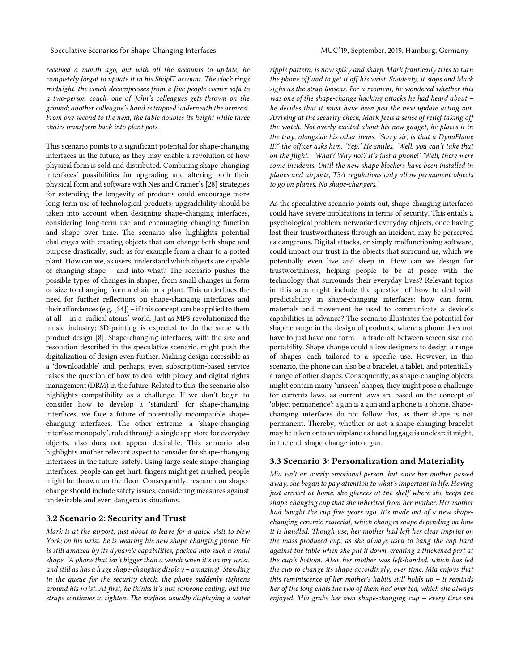#### Speculative Scenarios for Shape-Changing Interfaces MUC'19, September, 2019, Hamburg, Germany

*received a month ago, but with all the accounts to update, he completely forgot to update it in his ShöpIT account. The clock rings midnight, the couch decompresses from a five-people corner sofa to a two-person couch: one of John's colleagues gets thrown on the ground; another colleague's hand is trapped underneath the armrest. From one second to the next, the table doubles its height while three chairs transform back into plant pots.*

This scenario points to a significant potential for shape-changing interfaces in the future, as they may enable a revolution of how physical form is sold and distributed. Combining shape-changing interfaces' possibilities for upgrading and altering both their physical form and software with Nes and Cramer's [28] strategies for extending the longevity of products could encourage more long-term use of technological products: upgradability should be taken into account when designing shape-changing interfaces, considering long-term use and encouraging changing function and shape over time. The scenario also highlights potential challenges with creating objects that can change both shape and purpose drastically, such as for example from a chair to a potted plant. How can we, as users, understand which objects are capable of changing shape – and into what? The scenario pushes the possible types of changes in shapes, from small changes in form or size to changing from a chair to a plant. This underlines the need for further reflections on shape-changing interfaces and their affordances (e.g. [34]) – if this concept can be applied to them at all – in a 'radical atoms' world. Just as MP3 revolutionized the music industry; 3D-printing is expected to do the same with product design [8]. Shape-changing interfaces, with the size and resolution described in the speculative scenario, might push the digitalization of design even further. Making design accessible as a 'downloadable' and, perhaps, even subscription-based service raises the question of how to deal with piracy and digital rights management (DRM) in the future. Related to this, the scenario also highlights compatibility as a challenge. If we don't begin to consider how to develop a 'standard' for shape-changing interfaces, we face a future of potentially incompatible shapechanging interfaces. The other extreme, a 'shape-changing interface monopoly', ruled through a single app store for everyday objects, also does not appear desirable. This scenario also highlights another relevant aspect to consider for shape-changing interfaces in the future: safety. Using large-scale shape-changing interfaces, people can get hurt: fingers might get crushed, people might be thrown on the floor. Consequently, research on shapechange should include safety issues, considering measures against undesirable and even dangerous situations.

### 3.2 Scenario 2: Security and Trust

*Mark is at the airport, just about to leave for a quick visit to New York; on his wrist, he is wearing his new shape-changing phone. He is still amazed by its dynamic capabilities, packed into such a small shape. 'A phone that isn't bigger than a watch when it's on my wrist, and still as has a huge shape-changing display – amazing!' Standing in the queue for the security check, the phone suddenly tightens around his wrist. At first, he thinks it's just someone calling, but the straps continues to tighten. The surface, usually displaying a water* 

*ripple pattern, is now spiky and sharp. Mark frantically tries to turn the phone off and to get it off his wrist. Suddenly, it stops and Mark sighs as the strap loosens. For a moment, he wondered whether this was one of the shape-change hacking attacks he had heard about – he decides that it must have been just the new update acting out. Arriving at the security check, Mark feels a sense of relief taking off the watch. Not overly excited about his new gadget, he places it in the tray, alongside his other items. 'Sorry sir, is that a DynaPhone II?' the officer asks him. 'Yep.' He smiles. 'Well, you can't take that on the flight.' 'What? Why not? It's just a phone!' 'Well, there were some incidents. Until the new shape blockers have been installed in planes and airports, TSA regulations only allow permanent objects to go on planes. No shape-changers.'*

As the speculative scenario points out, shape-changing interfaces could have severe implications in terms of security. This entails a psychological problem: networked everyday objects, once having lost their trustworthiness through an incident, may be perceived as dangerous. Digital attacks, or simply malfunctioning software, could impact our trust in the objects that surround us, which we potentially even live and sleep in. How can we design for trustworthiness, helping people to be at peace with the technology that surrounds their everyday lives? Relevant topics in this area might include the question of how to deal with predictability in shape-changing interfaces: how can form, materials and movement be used to communicate a device's capabilities in advance? The scenario illustrates the potential for shape change in the design of products, where a phone does not have to just have one form – a trade-off between screen size and portability. Shape change could allow designers to design a range of shapes, each tailored to a specific use. However, in this scenario, the phone can also be a bracelet, a tablet, and potentially a range of other shapes. Consequently, as shape-changing objects might contain many 'unseen' shapes, they might pose a challenge for currents laws, as current laws are based on the concept of 'object permanence': a gun is a gun and a phone is a phone. Shapechanging interfaces do not follow this, as their shape is not permanent. Thereby, whether or not a shape-changing bracelet may be taken onto an airplane as hand luggage is unclear: it might, in the end, shape-change into a gun.

## 3.3 Scenario 3: Personalization and Materiality

*Mia isn't an overly emotional person, but since her mother passed away, she began to pay attention to what's important in life. Having just arrived at home, she glances at the shelf where she keeps the shape-changing cup that she inherited from her mother. Her mother had bought the cup five years ago. It's made out of a new shapechanging ceramic material, which changes shape depending on how it is handled. Though use, her mother had left her clear imprint on the mass-produced cup, as she always used to bang the cup hard against the table when she put it down, creating a thickened part at the cup's bottom. Also, her mother was left-handed, which has led the cup to change its shape accordingly, over time. Mia enjoys that this reminiscence of her mother's habits still holds up – it reminds her of the long chats the two of them had over tea, which she always enjoyed. Mia grabs her own shape-changing cup – every time she*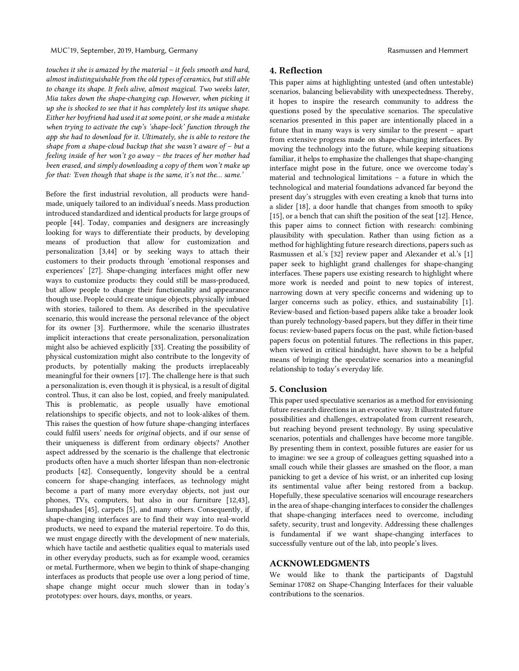*touches it she is amazed by the material – it feels smooth and hard, almost indistinguishable from the old types of ceramics, but still able to change its shape. It feels alive, almost magical. Two weeks later, Mia takes down the shape-changing cup. However, when picking it up she is shocked to see that it has completely lost its unique shape. Either her boyfriend had used it at some point, or she made a mistake when trying to activate the cup's 'shape-lock' function through the app she had to download for it. Ultimately, she is able to restore the shape from a shape-cloud backup that she wasn't aware of – but a* 

*feeling inside of her won't go away – the traces of her mother had been erased, and simply downloading a copy of them won't make up for that: 'Even though that shape is the same, it's not the… same.'* Before the first industrial revolution, all products were hand-

made, uniquely tailored to an individual's needs. Mass production introduced standardized and identical products for large groups of people [44]. Today, companies and designers are increasingly looking for ways to differentiate their products, by developing means of production that allow for customization and personalization [3,44] or by seeking ways to attach their customers to their products through 'emotional responses and experiences' [27]. Shape-changing interfaces might offer new ways to customize products: they could still be mass-produced, but allow people to change their functionality and appearance though use. People could create unique objects, physically imbued with stories, tailored to them. As described in the speculative scenario, this would increase the personal relevance of the object for its owner [3]. Furthermore, while the scenario illustrates implicit interactions that create personalization, personalization might also be achieved explicitly [33]. Creating the possibility of physical customization might also contribute to the longevity of products, by potentially making the products irreplaceably meaningful for their owners [17]. The challenge here is that such a personalization is, even though it is physical, is a result of digital control. Thus, it can also be lost, copied, and freely manipulated. This is problematic, as people usually have emotional relationships to specific objects, and not to look-alikes of them. This raises the question of how future shape-changing interfaces could fulfil users' needs for *original* objects, and if our sense of their uniqueness is different from ordinary objects? Another aspect addressed by the scenario is the challenge that electronic products often have a much shorter lifespan than non-electronic products [42]. Consequently, longevity should be a central concern for shape-changing interfaces, as technology might become a part of many more everyday objects, not just our phones, TVs, computers, but also in our furniture [12,43], lampshades [45], carpets [5], and many others. Consequently, if shape-changing interfaces are to find their way into real-world products, we need to expand the material repertoire. To do this, we must engage directly with the development of new materials, which have tactile and aesthetic qualities equal to materials used in other everyday products, such as for example wood, ceramics or metal. Furthermore, when we begin to think of shape-changing interfaces as products that people use over a long period of time, shape change might occur much slower than in today's prototypes: over hours, days, months, or years.

#### 4. Reflection

This paper aims at highlighting untested (and often untestable) scenarios, balancing believability with unexpectedness. Thereby, it hopes to inspire the research community to address the questions posed by the speculative scenarios. The speculative scenarios presented in this paper are intentionally placed in a future that in many ways is very similar to the present – apart from extensive progress made on shape-changing interfaces. By moving the technology into the future, while keeping situations familiar, it helps to emphasize the challenges that shape-changing interface might pose in the future, once we overcome today's material and technological limitations – a future in which the technological and material foundations advanced far beyond the present day's struggles with even creating a knob that turns into a slider [18], a door handle that changes from smooth to spiky [15], or a bench that can shift the position of the seat [12]. Hence, this paper aims to connect fiction with research: combining plausibility with speculation. Rather than using fiction as a method for highlighting future research directions, papers such as Rasmussen et al.'s [32] review paper and Alexander et al.'s [1] paper seek to highlight grand challenges for shape-changing interfaces. These papers use existing research to highlight where more work is needed and point to new topics of interest, narrowing down at very specific concerns and widening up to larger concerns such as policy, ethics, and sustainability [1]. Review-based and fiction-based papers alike take a broader look than purely technology-based papers, but they differ in their time focus: review-based papers focus on the past, while fiction-based papers focus on potential futures. The reflections in this paper, when viewed in critical hindsight, have shown to be a helpful means of bringing the speculative scenarios into a meaningful relationship to today's everyday life.

### 5. Conclusion

This paper used speculative scenarios as a method for envisioning future research directions in an evocative way. It illustrated future possibilities and challenges, extrapolated from current research, but reaching beyond present technology. By using speculative scenarios, potentials and challenges have become more tangible. By presenting them in context, possible futures are easier for us to imagine: we see a group of colleagues getting squashed into a small couch while their glasses are smashed on the floor, a man panicking to get a device of his wrist, or an inherited cup losing its sentimental value after being restored from a backup. Hopefully, these speculative scenarios will encourage researchers in the area of shape-changing interfaces to consider the challenges that shape-changing interfaces need to overcome, including safety, security, trust and longevity. Addressing these challenges is fundamental if we want shape-changing interfaces to successfully venture out of the lab, into people's lives.

## ACKNOWLEDGMENTS

We would like to thank the participants of Dagstuhl Seminar 17082 on Shape-Changing Interfaces for their valuable contributions to the scenarios.